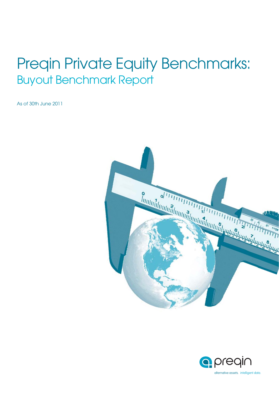# Preqin Private Equity Benchmarks: Buyout Benchmark Report

As of 30th June 2011



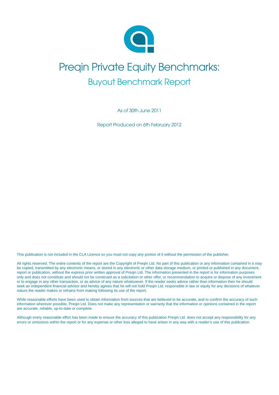

# Preqin Private Equity Benchmarks: Buyout Benchmark Report

As of 30th June 2011

Report Produced on 6th February 2012

This publication is not included in the CLA Licence so you must not copy any portion of it without the permission of the publisher.

All rights reserved. The entire contents of the report are the Copyright of Preqin Ltd. No part of this publication or any information contained in it may be copied, transmitted by any electronic means, or stored in any electronic or other data storage medium, or printed or published in any document, report or publication, without the express prior written approval of Preqin Ltd. The information presented in the report is for information purposes only and does not constitute and should not be construed as a solicitation or other offer, or recommendation to acquire or dispose of any investment or to engage in any other transaction, or as advice of any nature whatsoever. If the reader seeks advice rather than information then he should seek an independent financial advisor and hereby agrees that he will not hold Pregin Ltd. responsible in law or equity for any decisions of whatever nature the reader makes or refrains from making following its use of the report.

While reasonable efforts have been used to obtain information from sources that are believed to be accurate, and to confirm the accuracy of such information wherever possible, Preqin Ltd. Does not make any representation or warranty that the information or opinions contained in the report are accurate, reliable, up-to-date or complete.

Although every reasonable effort has been made to ensure the accuracy of this publication Preqin Ltd. does not accept any responsibility for any errors or omissions within the report or for any expense or other loss alleged to have arisen in any way with a reader's use of this publication.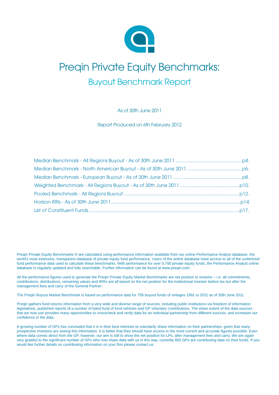

# Preqin Private Equity Benchmarks: Buyout Benchmark Report

As of 30th June 2011

Report Produced on 6th February 2012

Preqin Private Equity Benchmarks ® are calculated using performance information available from our online Performance Analyst database, the world's most extensive, transparent database of private equity fund performance. Users of the online database have access to all of the underlined fund performance data used to calculate these benchmarks. With performance for over 5,700 private equity funds, the Performance Analyst online database is regularly updated and fully searchable. Further information can be found at www.preqin.com.

All the performance figures used to generate the Pregin Private Equity Market Benchmarks are net position to investor – i.e. all commitments, contributions, distributions, remaining values and IRRs are all based on the net position for the institutional investor before tax but after the management fees and carry of the General Partner.

The Preqin Buyout Market Benchmark is based on performance data for 756 buyout funds of vintages 1991 to 2011 as of 30th June 2011

Preqin gathers fund returns information from a very wide and diverse range of sources, including public institutions via freedom of information legislations, published reports of a number of listed fund of fund vehicles and GP Voluntary contributions. The sheer extent of the data sources that we now use provides many opportunities to crosscheck and verify data for an individual partnership from different sources, and increases our confidence in the data.

A growing number of GPs has concluded that it is in their best interests to voluntarily share information on their partnerships: given that many prospective investors are seeing this information, it is better that they should have access to the most current and accurate figures possible. Even where data comes direct from the GP, however, our aim is still to show the net position for LPs, after management fees and carry. We are again very grateful to the significant number of GPs who now share data with us in this way, currently 800 GPs are contributing data on their funds. If you would like further details on contributing information on your firm please contact us.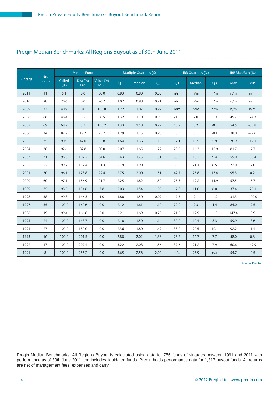#### Preqin Median Benchmarks: All Regions Buyout as of 30th June 2011

|         |                     |               | <b>Median Fund</b>     |                          |      | <b>Mutliple Quartiles (X)</b> |                |      | IRR Quartiles (%) |        |            | IRR Max/Min (%) |
|---------|---------------------|---------------|------------------------|--------------------------|------|-------------------------------|----------------|------|-------------------|--------|------------|-----------------|
| Vintage | No.<br><b>Funds</b> | Called<br>(%) | Dist (%)<br><b>DPI</b> | Value (%)<br><b>RVPI</b> | Q1   | Median                        | Q <sub>3</sub> | Q1   | Median            | Q3     | <b>Max</b> | <b>Min</b>      |
| 2011    | 11                  | 5.1           | 0.0                    | 80.0                     | 0.93 | 0.80                          | 0.05           | n/m  | n/m               | n/m    | n/m        | n/m             |
| 2010    | 28                  | 20.6          | 0.0                    | 96.7                     | 1.07 | 0.98                          | 0.91           | n/m  | n/m               | n/m    | n/m        | n/m             |
| 2009    | 33                  | 40.9          | 0.0                    | 100.8                    | 1.22 | 1.07                          | 0.92           | n/m  | n/m               | n/m    | n/m        | n/m             |
| 2008    | 66                  | 48.4          | 5.5                    | 98.5                     | 1.32 | 1.10                          | 0.98           | 21.9 | 7.0               | $-1.4$ | 45.7       | $-24.3$         |
| 2007    | 69                  | 68.2          | 5.7                    | 100.2                    | 1.33 | 1.18                          | 0.99           | 13.9 | 8.2               | $-0.5$ | 54.5       | $-30.8$         |
| 2006    | 74                  | 87.2          | 12.7                   | 93.7                     | 1.29 | 1.15                          | 0.98           | 10.3 | 6.1               | $-0.1$ | 28.0       | $-29.6$         |
| 2005    | 75                  | 90.9          | 42.0                   | 85.8                     | 1.64 | 1.36                          | 1.18           | 17.1 | 10.5              | 5.9    | 76.9       | $-12.1$         |
| 2004    | 38                  | 92.6          | 82.8                   | 80.0                     | 2.07 | 1.65                          | 1.22           | 28.5 | 16.3              | 10.9   | 81.7       | $-7.7$          |
| 2003    | 31                  | 96.3          | 102.2                  | 64.6                     | 2.43 | 1.75                          | 1.51           | 33.3 | 18.2              | 9.4    | 59.0       | $-60.4$         |
| 2002    | 22                  | 99.2          | 152.4                  | 31.3                     | 2.19 | 1.90                          | 1.30           | 35.5 | 21.1              | 8.5    | 72.0       | $-2.0$          |
| 2001    | 30                  | 96.1          | 173.8                  | 22.4                     | 2.75 | 2.00                          | 1.51           | 42.7 | 25.8              | 13.4   | 95.3       | 0.2             |
| 2000    | 60                  | 97.1          | 156.9                  | 21.7                     | 2.25 | 1.82                          | 1.50           | 25.3 | 19.2              | 11.9   | 57.5       | $-5.7$          |
| 1999    | 35                  | 98.5          | 134.6                  | 7.8                      | 2.03 | 1.54                          | 1.05           | 17.0 | 11.0              | 6.0    | 37.4       | $-25.1$         |
| 1998    | 38                  | 99.3          | 146.3                  | 1.0                      | 1.88 | 1.50                          | 0.99           | 17.5 | 9.1               | $-1.9$ | 31.3       | $-100.0$        |
| 1997    | 35                  | 100.0         | 160.6                  | 0.0                      | 2.12 | 1.61                          | 1.10           | 22.0 | 9.3               | 1.4    | 84.0       | $-9.5$          |
| 1996    | 19                  | 99.4          | 166.8                  | 0.0                      | 2.21 | 1.69                          | 0.78           | 21.5 | 12.9              | $-1.8$ | 147.4      | $-8.9$          |
| 1995    | 24                  | 100.0         | 148.7                  | 0.0                      | 2.18 | 1.50                          | 1.14           | 30.0 | 10.4              | 3.3    | 59.9       | $-8.6$          |
| 1994    | 27                  | 100.0         | 180.0                  | 0.0                      | 2.36 | 1.80                          | 1.49           | 33.0 | 20.5              | 10.1   | 92.2       | $-1.4$          |
| 1993    | 16                  | 100.0         | 201.5                  | 0.0                      | 2.88 | 2.02                          | 1.38           | 23.2 | 16.7              | 7.7    | 58.0       | 0.8             |
| 1992    | 17                  | 100.0         | 207.4                  | 0.0                      | 3.22 | 2.08                          | 1.56           | 37.6 | 21.2              | 7.9    | 60.6       | $-49.9$         |
| 1991    | 8                   | 100.0         | 256.2                  | 0.0                      | 3.65 | 2.56                          | 2.02           | n/a  | 25.9              | n/a    | 54.7       | $-0.5$          |

Source: Preqin

Preqin Median Benchmarks: All Regions Buyout is calculated using data for 756 funds of vintages between 1991 and 2011 with performance as of 30th June 2011 and includes liquidated funds. Preqin holds performance data for 1,317 buyout funds. All returns are net of management fees, expenses and carry.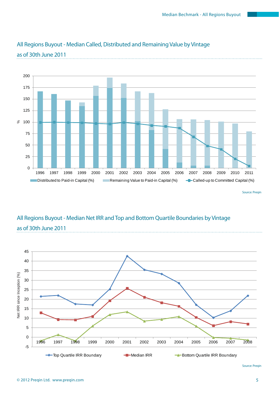

### All Regions Buyout - Median Called, Distributed and Remaining Value by Vintage as of 30th June 2011

Source: Preqin

# All Regions Buyout - Median Net IRR and Top and Bottom Quartile Boundaries by Vintage as of 30th June 2011



Source: Preqin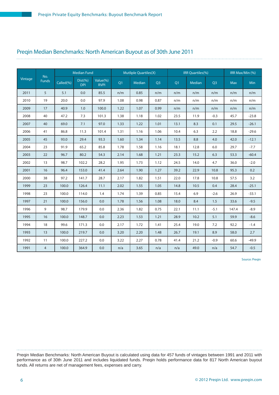# Preqin Median Benchmarks: North American Buyout as of 30th June 2011

|         |                     |           | <b>Median Fund</b>        |                         |      | <b>Mutliple Quartiles(X)</b> |                |      | IRR Quartiles(%) |        |            | IRR Max/Min (%) |
|---------|---------------------|-----------|---------------------------|-------------------------|------|------------------------------|----------------|------|------------------|--------|------------|-----------------|
| Vintage | No.<br><b>Funds</b> | Called(%) | $Dist(\% )$<br><b>DPI</b> | Value(%)<br><b>RVPI</b> | Q1   | Median                       | Q <sub>3</sub> | Q1   | Median           | Q3     | <b>Max</b> | Min             |
| 2011    | 5                   | 5.1       | 0.0                       | 85.5                    | n/m  | 0.85                         | n/m            | n/m  | n/m              | n/m    | n/m        | n/m             |
| 2010    | 19                  | 20.0      | 0.0                       | 97.9                    | 1.08 | 0.98                         | 0.87           | n/m  | n/m              | n/m    | n/m        | n/m             |
| 2009    | 17                  | 40.9      | 1.0                       | 100.0                   | 1.22 | 1.07                         | 0.99           | n/m  | n/m              | n/m    | n/m        | n/m             |
| 2008    | 40                  | 47.2      | 7.3                       | 101.3                   | 1.38 | 1.18                         | 1.02           | 23.5 | 11.9             | $-0.3$ | 45.7       | $-23.8$         |
| 2007    | 40                  | 69.0      | 7.1                       | 97.0                    | 1.33 | 1.22                         | 1.01           | 13.1 | 8.3              | 0.1    | 29.5       | $-26.1$         |
| 2006    | 41                  | 86.8      | 11.3                      | 101.4                   | 1.31 | 1.16                         | 1.06           | 10.4 | 6.3              | 2.2    | 18.8       | $-29.6$         |
| 2005    | 45                  | 93.0      | 29.4                      | 93.3                    | 1.60 | 1.34                         | 1.14           | 13.5 | 8.8              | 4.0    | 42.0       | $-12.1$         |
| 2004    | 23                  | 91.9      | 65.2                      | 85.8                    | 1.78 | 1.58                         | 1.16           | 18.1 | 12.8             | 6.0    | 29.7       | $-7.7$          |
| 2003    | 22                  | 96.7      | 80.2                      | 54.3                    | 2.14 | 1.68                         | 1.21           | 23.3 | 15.2             | 6.3    | 53.3       | $-60.4$         |
| 2002    | 13                  | 98.7      | 102.2                     | 28.2                    | 1.95 | 1.73                         | 1.12           | 24.5 | 14.0             | 4.7    | 36.0       | $-2.0$          |
| 2001    | 16                  | 96.4      | 153.0                     | 41.4                    | 2.64 | 1.90                         | 1.27           | 39.2 | 22.9             | 10.8   | 95.3       | 0.2             |
| 2000    | 38                  | 97.2      | 141.7                     | 28.7                    | 2.17 | 1.82                         | 1.51           | 22.0 | 17.8             | 10.8   | 57.5       | 3.2             |
| 1999    | 23                  | 100.0     | 126.4                     | 11.1                    | 2.02 | 1.55                         | 1.05           | 14.8 | 10.5             | 0.4    | 28.4       | $-25.1$         |
| 1998    | 23                  | 100.0     | 114.0                     | 1.4                     | 1.74 | 1.39                         | 0.85           | 15.4 | 6.9              | $-2.6$ | 26.9       | $-33.1$         |
| 1997    | 21                  | 100.0     | 156.0                     | 0.0                     | 1.78 | 1.56                         | 1.08           | 18.0 | 8.4              | 1.5    | 33.6       | $-9.5$          |
| 1996    | 9                   | 98.7      | 179.9                     | 0.0                     | 2.36 | 1.82                         | 0.75           | 22.1 | 11.1             | $-5.1$ | 147.4      | $-8.9$          |
| 1995    | 16                  | 100.0     | 148.7                     | 0.0                     | 2.23 | 1.53                         | 1.21           | 28.9 | 10.2             | 5.1    | 59.9       | $-8.6$          |
| 1994    | 18                  | 99.6      | 171.3                     | 0.0                     | 2.17 | 1.72                         | 1.41           | 25.4 | 19.0             | 7.2    | 92.2       | $-1.4$          |
| 1993    | 13                  | 100.0     | 219.7                     | 0.0                     | 3.20 | 2.20                         | 1.48           | 26.7 | 19.1             | 8.9    | 58.0       | 2.7             |
| 1992    | 11                  | 100.0     | 227.2                     | 0.0                     | 3.22 | 2.27                         | 0.78           | 41.4 | 21.2             | $-0.9$ | 60.6       | $-49.9$         |
| 1991    | 4                   | 100.0     | 364.9                     | 0.0                     | n/a  | 3.65                         | n/a            | n/a  | 49.0             | n/a    | 54.7       | $-0.5$          |

Source: Preqin

Preqin Median Benchmarks: North American Buyout is calculated using data for 457 funds of vintages between 1991 and 2011 with performance as of 30th June 2011 and includes liquidated funds. Preqin holds performance data for 817 North American buyout funds. All returns are net of management fees, expenses and carry.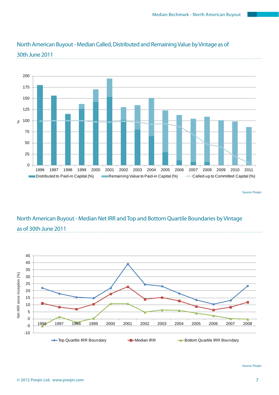

### North American Buyout - Median Called, Distributed and Remaining Value by Vintage as of 30th June 2011

Source: Preqin

## North American Buyout - Median Net IRR and Top and Bottom Quartile Boundaries by Vintage as of 30th June 2011



Source: Preqin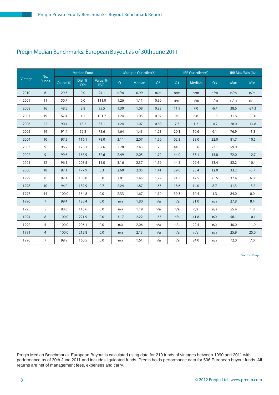#### Preqin Median Benchmarks: European Buyout as of 30th June 2011

|         |                     |           | <b>Median Fund</b>        |                         |      | <b>Mutliple Quartiles(X)</b> |                |      | IRR Quartiles(%) |        |            | IRR Max/Min (%) |
|---------|---------------------|-----------|---------------------------|-------------------------|------|------------------------------|----------------|------|------------------|--------|------------|-----------------|
| Vintage | No.<br><b>Funds</b> | Called(%) | $Dist(\% )$<br><b>DPI</b> | Value(%)<br><b>RVPI</b> | Q1   | <b>Median</b>                | Q <sub>3</sub> | Q1   | Median           | Q3     | <b>Max</b> | <b>Min</b>      |
| 2010    | 6                   | 29.3      | 0.0                       | 94.1                    | n/m  | 0.99                         | n/m            | n/m  | n/m              | n/m    | n/m        | n/m             |
| 2009    | 11                  | 50.7      | 0.0                       | 111.0                   | 1.26 | 1.11                         | 0.90           | n/m  | n/m              | n/m    | n/m        | n/m             |
| 2008    | 16                  | 48.5      | 2.8                       | 95.5                    | 1.30 | 1.08                         | 0.88           | 11.9 | 7.0              | $-6.4$ | 38.6       | $-24.3$         |
| 2007    | 19                  | 67.4      | 1.2                       | 101.7                   | 1.24 | 1.05                         | 0.97           | 9.0  | 6.8              | $-1.5$ | 31.6       | $-30.0$         |
| 2006    | 22                  | 90.4      | 18.2                      | 87.1                    | 1.24 | 1.07                         | 0.89           | 7.3  | 1.2              | $-4.7$ | 28.0       | $-14.8$         |
| 2005    | 19                  | 91.4      | 52.8                      | 75.6                    | 1.64 | 1.43                         | 1.23           | 20.1 | 10.6             | 6.1    | 76.9       | $-1.8$          |
| 2004    | 10                  | 97.5      | 116.1                     | 78.0                    | 3.11 | 2.07                         | 1.50           | 62.3 | 38.0             | 22.0   | 81.7       | 10.5            |
| 2003    | 9                   | 96.2      | 178.1                     | 82.6                    | 2.78 | 2.43                         | 1.75           | 44.5 | 33.6             | 23.1   | 59.0       | 11.5            |
| 2002    | 9                   | 99.6      | 168.9                     | 32.6                    | 2.49 | 2.05                         | 1.72           | 44.0 | 33.1             | 15.8   | 72.0       | 12.7            |
| 2001    | 12                  | 96.1      | 203.5                     | 11.0                    | 3.16 | 2.37                         | 1.59           | 44.5 | 29.4             | 13.4   | 52.2       | 10.4            |
| 2000    | 18                  | 97.1      | 177.9                     | 5.3                     | 2.60 | 2.05                         | 1.41           | 29.0 | 23.4             | 12.0   | 33.2       | $-5.7$          |
| 1999    | 8                   | 97.1      | 138.8                     | 0.0                     | 2.01 | 1.45                         | 1.29           | 21.3 | 12.5             | 7.15   | 37.4       | 6.0             |
| 1998    | 10                  | 94.0      | 182.9                     | 0.7                     | 2.24 | 1.87                         | 1.55           | 18.6 | 14.0             | 8.7    | 31.3       | $-3.2$          |
| 1997    | 14                  | 100.0     | 164.8                     | 0.0                     | 2.33 | 1.67                         | 1.10           | 30.3 | 10.4             | 1.3    | 84.0       | 0.0             |
| 1996    | $\overline{7}$      | 99.4      | 180.4                     | 0.0                     | n/a  | 1.80                         | n/a            | n/a  | 21.0             | n/a    | 27.8       | 8.4             |
| 1995    | 5                   | 98.6      | 118.6                     | 0.0                     | n/a  | 1.19                         | n/a            | n/a  | n/a              | n/a    | 55.4       | 1.8             |
| 1994    | 8                   | 100.0     | 221.9                     | 0.0                     | 3.17 | 2.22                         | 1.55           | n/a  | 41.8             | n/a    | 56.1       | 10.1            |
| 1992    | 5                   | 100.0     | 206.1                     | 0.0                     | n/a  | 2.06                         | n/a            | n/a  | 22.4             | n/a    | 40.0       | 11.0            |
| 1991    | $\overline{4}$      | 100.0     | 212.8                     | 0.0                     | n/a  | 2.13                         | n/a            | n/a  | n/a              | n/a    | 25.9       | 25.0            |
| 1990    | $\overline{7}$      | 99.9      | 160.5                     | 0.0                     | n/a  | 1.61                         | n/a            | n/a  | 24.0             | n/a    | 72.0       | 7.0             |

Source: Preqin

Preqin Median Benchmarks: European Buyout is calculated using data for 219 funds of vintages between 1990 and 2011 with performance as of 30th June 2011 and includes liquidated funds. Preqin holds performance data for 506 European buyout funds. All returns are net of management fees, expenses and carry.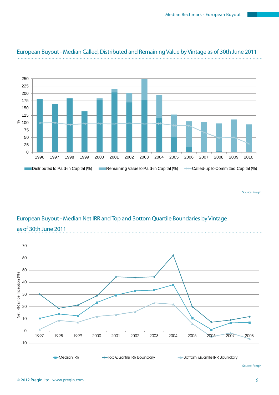

### European Buyout - Median Called, Distributed and Remaining Value by Vintage as of 30th June 2011

Source: Preqin

## European Buyout - Median Net IRR and Top and Bottom Quartile Boundaries by Vintage as of 30th June 2011



Source: Preqin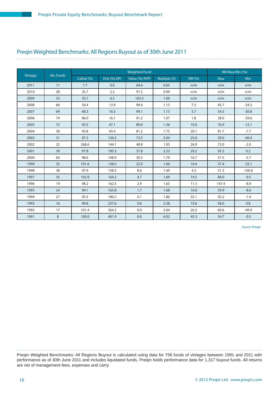# Preqin Weighted Benchmarks: All Regions Buyout as of 30th June 2011

| Vintage | No. Funds |            |              | <b>Weighted Fund</b> |              |                | IRR Max/Min (%) |          |
|---------|-----------|------------|--------------|----------------------|--------------|----------------|-----------------|----------|
|         |           | Called (%) | Dist (%) DPI | Value (%) RVPI       | Multiple (X) | <b>IRR</b> (%) | <b>Max</b>      | Min      |
| 2011    | 11        | 7.7        | 0.0          | 64.6                 | 0.65         | n/m            | n/m             | n/m      |
| 2010    | 28        | 25.7       | 2.2          | 97.2                 | 0.99         | n/m            | n/m             | n/m      |
| 2009    | 33        | 35.7       | 6.5          | 102.5                | 1.09         | n/m            | n/m             | n/m      |
| 2008    | 66        | 50.4       | 13.9         | 99.0                 | 1.13         | 7.3            | 45.7            | $-24.3$  |
| 2007    | 69        | 68.3       | 16.3         | 99.1                 | 1.15         | 5.7            | 54.5            | $-30.8$  |
| 2006    | 74        | 86.0       | 16.1         | 91.2                 | 1.07         | 1.8            | 28.0            | $-29.6$  |
| 2005    | 75        | 92.5       | 47.1         | 89.0                 | 1.36         | 10.0           | 76.9            | $-12.1$  |
| 2004    | 38        | 93.8       | 93.4         | 81.2                 | 1.75         | 20.1           | 81.7            | $-7.7$   |
| 2003    | 31        | 97.3       | 130.2        | 73.5                 | 2.04         | 25.0           | 59.0            | $-60.4$  |
| 2002    | 22        | 268.6      | 144.1        | 48.8                 | 1.93         | 26.9           | 72.0            | $-2.0$   |
| 2001    | 30        | 97.8       | 185.5        | 37.8                 | 2.23         | 29.2           | 95.3            | 0.2      |
| 2000    | 60        | 98.6       | 148.9        | 30.3                 | 1.79         | 16.7           | 57.5            | $-5.7$   |
| 1999    | 35        | 101.6      | 138.5        | 22.0                 | 1.60         | 10.4           | 37.4            | $-25.1$  |
| 1998    | 38        | 97.9       | 138.5        | 8.6                  | 1.49         | 4.3            | 31.3            | $-100.0$ |
| 1997    | 35        | 102.9      | 164.2        | 4.7                  | 1.69         | 14.5           | 84.0            | $-9.5$   |
| 1996    | 19        | 98.2       | 162.5        | 2.9                  | 1.65         | 11.5           | 147.4           | $-8.9$   |
| 1995    | 24        | 99.1       | 165.8        | 1.7                  | 1.68         | 16.0           | 59.9            | $-8.6$   |
| 1994    | 27        | 95.5       | 180.2        | 0.1                  | 1.80         | 35.1           | 92.2            | $-1.4$   |
| 1993    | 16        | 99.8       | 237.6        | 0.8                  | 2.38         | 19.6           | 58.0            | 0.8      |
| 1992    | 17        | 101.4      | 264.2        | 0.0                  | 2.64         | 26.3           | 60.6            | $-49.9$  |
| 1991    | 8         | 100.0      | 401.9        | 0.0                  | 4.02         | 45.3           | 54.7            | $-0.5$   |

Source: Preqin

Preqin Weighted Benchmarks: All Regions Buyout is calculated using data for 756 funds of vintages between 1991 and 2011 with performance as of 30th June 2011 and includes liquidated funds. Preqin holds performance data for 1,317 buyout funds. All returns are net of management fees, expenses and carry.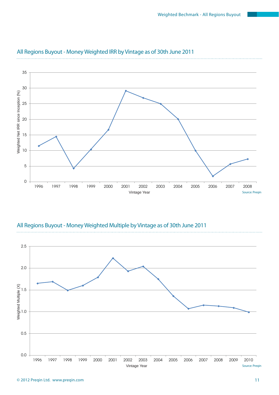

### All Regions Buyout - Money Weighted IRR by Vintage as of 30th June 2011



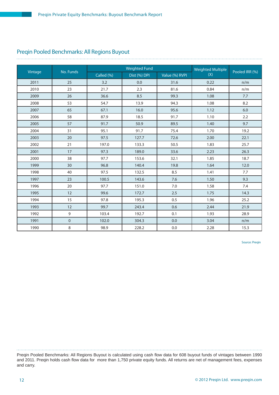### Preqin Pooled Benchmarks: All Regions Buyout

|         |           |            | <b>Weighted Fund</b> |                | <b>Weighted Multiple</b> |                |
|---------|-----------|------------|----------------------|----------------|--------------------------|----------------|
| Vintage | No. Funds | Called (%) | Dist (%) DPI         | Value (%) RVPI | (X)                      | Pooled IRR (%) |
| 2011    | 25        | 3.2        | 0.0                  | 31.6           | 0.22                     | n/m            |
| 2010    | 23        | 21.7       | 2.3                  | 81.6           | 0.84                     | n/m            |
| 2009    | 26        | 36.6       | 8.5                  | 99.3           | 1.08                     | 7.7            |
| 2008    | 53        | 54.7       | 13.9                 | 94.3           | 1.08                     | 8.2            |
| 2007    | 65        | 67.1       | 16.0                 | 95.6           | 1.12                     | 6.0            |
| 2006    | 58        | 87.9       | 18.5                 | 91.7           | 1.10                     | 2.2            |
| 2005    | 57        | 91.7       | 50.9                 | 89.5           | 1.40                     | 9.7            |
| 2004    | 31        | 95.1       | 91.7                 | 75.4           | 1.70                     | 19.2           |
| 2003    | 20        | 97.5       | 127.7                | 72.6           | 2.00                     | 22.1           |
| 2002    | 21        | 197.0      | 133.3                | 50.5           | 1.83                     | 25.7           |
| 2001    | 17        | 97.3       | 189.0                | 33.6           | 2.23                     | 26.3           |
| 2000    | 38        | 97.7       | 153.6                | 32.1           | 1.85                     | 18.7           |
| 1999    | 30        | 96.8       | 140.4                | 19.8           | 1.64                     | 12.0           |
| 1998    | 40        | 97.5       | 132.5                | 8.5            | 1.41                     | 7.7            |
| 1997    | 23        | 100.5      | 143.6                | 7.6            | 1.50                     | 9.3            |
| 1996    | 20        | 97.7       | 151.0                | 7.0            | 1.58                     | 7.4            |
| 1995    | 12        | 99.6       | 172.7                | 2.5            | 1.75                     | 14.3           |
| 1994    | 15        | 97.8       | 195.3                | 0.5            | 1.96                     | 25.2           |
| 1993    | 12        | 99.7       | 243.4                | 0.6            | 2.44                     | 21.9           |
| 1992    | 9         | 103.4      | 192.7                | 0.1            | 1.93                     | 28.9           |
| 1991    | $\pmb{0}$ | 102.0      | 304.3                | 0.0            | 3.04                     | n/m            |
| 1990    | 8         | 98.9       | 228.2                | $0.0\,$        | 2.28                     | 15.3           |

Source: Preqin

Preqin Pooled Benchmarks: All Regions Buyout is calculated using cash flow data for 608 buyout funds of vintages between 1990 and 2011. Preqin holds cash flow data for more than 1,750 private equity funds. All returns are net of management fees, expenses and carry.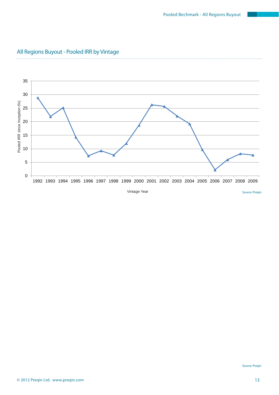

### All Regions Buyout - Pooled IRR by Vintage

. . . . . . . . . . . . . .

 $\cdots$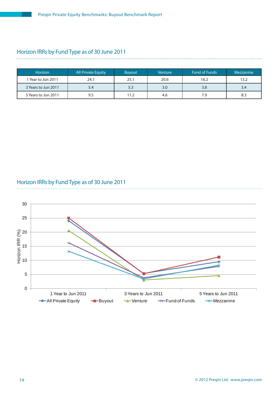# Horizon IRRs by Fund Type as of 30 June 2011

| Horizon             | All Private Equity | <b>Buyout</b> | Venture | <b>Fund of Funds</b> | <b>Mezzanine</b> |
|---------------------|--------------------|---------------|---------|----------------------|------------------|
| l Year to Jun 2011  | 24.1               | 25.1          | 20.6    | 16.2                 | 13.2             |
| 3 Years to Jun 2011 | 5.4                | 5.3           | 3.0     | 3.8                  | 3.4              |
| 5 Years to Jun 2011 | 9.5                | 11.2          | 4.6     | 7.9                  | 8.3              |

#### Horizon IRRs by Fund Type as of 30 June 2011

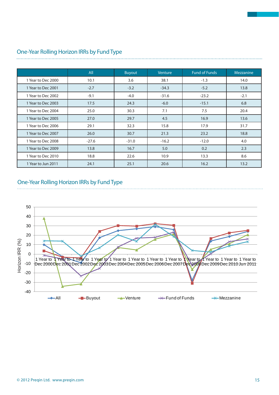|                    | All     | <b>Buyout</b> | Venture | <b>Fund of Funds</b> | <b>Mezzanine</b> |
|--------------------|---------|---------------|---------|----------------------|------------------|
| 1 Year to Dec 2000 | 10.1    | 3.6           | 38.1    | $-1.3$               | 14.0             |
| 1 Year to Dec 2001 | $-2.7$  | $-3.2$        | $-34.3$ | $-5.2$               | 13.8             |
| 1 Year to Dec 2002 | $-9.1$  | $-4.0$        | $-31.6$ | $-23.2$              | $-2.1$           |
| 1 Year to Dec 2003 | 17.5    | 24.3          | $-6.0$  | $-15.1$              | 6.8              |
| 1 Year to Dec 2004 | 25.0    | 30.3          | 7.1     | 7.5                  | 20.4             |
| 1 Year to Dec 2005 | 27.0    | 29.7          | 4.5     | 16.9                 | 13.6             |
| 1 Year to Dec 2006 | 29.1    | 32.3          | 15.8    | 17.9                 | 31.7             |
| 1 Year to Dec 2007 | 26.0    | 30.7          | 21.3    | 23.2                 | 18.8             |
| 1 Year to Dec 2008 | $-27.6$ | $-31.0$       | $-16.2$ | $-12.0$              | 4.0              |
| 1 Year to Dec 2009 | 13.8    | 16.7          | 5.0     | 0.2                  | 2.3              |
| 1 Year to Dec 2010 | 18.8    | 22.6          | 10.9    | 13.3                 | 8.6              |
| 1 Year to Jun 2011 | 24.1    | 25.1          | 20.6    | 16.2                 | 13.2             |

# One-Year Rolling Horizon IRRs by Fund Type

#### One-Year Rolling Horizon IRRs by Fund Type

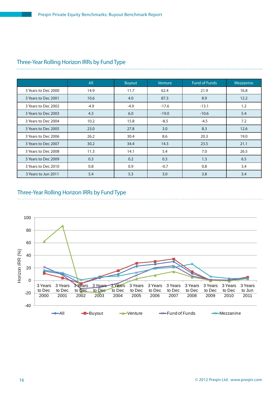|                     | All    | <b>Buyout</b> | Venture | <b>Fund of Funds</b> | Mezzanine |
|---------------------|--------|---------------|---------|----------------------|-----------|
| 3 Years to Dec 2000 | 14.9   | 11.7          | 62.4    | 21.9                 | 16.8      |
| 3 Years to Dec 2001 | 10.6   | 4.0           | 87.3    | 8.9                  | 12.2      |
| 3 Years to Dec 2002 | $-4.9$ | $-4.9$        | $-17.6$ | $-13.1$              | 1.2       |
| 3 Years to Dec 2003 | 4.3    | 6.0           | $-19.0$ | $-10.6$              | 5.4       |
| 3 Years to Dec 2004 | 10.2   | 15.8          | $-8.5$  | $-4.5$               | 7.2       |
| 3 Years to Dec 2005 | 23.0   | 27.8          | 3.0     | 8.3                  | 12.6      |
| 3 Years to Dec 2006 | 26.2   | 30.4          | 8.6     | 20.3                 | 19.0      |
| 3 Years to Dec 2007 | 30.2   | 34.4          | 14.3    | 23.5                 | 21.1      |
| 3 Years to Dec 2008 | 11.3   | 14.1          | 5.4     | 7.0                  | 26.5      |
| 3 Years to Dec 2009 | 0.3    | 0.2           | 0.3     | 1.3                  | 6.5       |
| 3 Years to Dec 2010 | 0.8    | 0.9           | $-0.7$  | 0.8                  | 3.4       |
| 3 Years to Jun 2011 | 5.4    | 5.3           | 3.0     | 3.8                  | 3.4       |

# Three-Year Rolling Horizon IRRs by Fund Type

### Three-Year Rolling Horizon IRRs by Fund Type

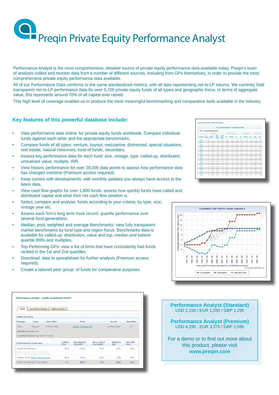Performance Analyst is the most comprehensive, detailed source of private equity performance data available today. Preqin's team of analysts collect and monitor data from a number of different sources, including from GPs themselves, in order to provide the most comprehensive private equity performance data available.

All of our Performance Data conforms to the same standardized metrics, with all data representing net-to-LP returns. We currently hold transparent net-to-LP performance data for over 5,700 private equity funds of all types and geographic focus. In terms of aggregate value, this represents around 70% of all capital ever raised.

This high level of coverage enables us to produce the most meaningful benchmarking and comparative tools available in the industry.

#### **Key features of this powerful database include:**

- View performance data online: for private equity funds worldwide. Compare individual funds against each other and the appropriate benchmarks.
- Compare funds of all types: venture, buyout, mezzanine, distressed, special situations, real estate, natural resources; fund-of-funds, secondary.
- Assess key performance data for each fund: size, vintage, type, called-up, distributed, unrealised value, multiple, IRR.
- View historic performance for over 28,000 data points to assess how performance data has changed overtime (Premium access required).
- Keep current with developments: with monthly updates you always have access to the latest data.
- View cash flow graphs for over 1,800 funds: assess how quickly funds have called and distributed capital and what their net cash flow position is.
- Select, compare and analyse: funds according to your criteria: by type, size, vintage year etc.
- Assess each firm's long term track record: quartile performance over several fund generations.
- Median, pool, weighted and average Benchmarks: view fully transparent market benchmarks by fund type and region focus. Benchmarks data is available for called-up, distribution, value and top, median and bottom quartile IRRs and multiples.
- Top Performing GPs: view a list of firms that have consistently had funds ranked in the 1st and 2nd quartiles.
- Download: data to spreadsheet for further analysis (Premium access required).
- Create a tailored peer group: of funds for comparative purposes.

| Data                | <b>Cash Flow Charts</b>           | <b>Historic Data</b> |                |                        |                           |                 |                 |
|---------------------|-----------------------------------|----------------------|----------------|------------------------|---------------------------|-----------------|-----------------|
|                     |                                   |                      |                |                        |                           |                 |                 |
| <b>FUND DETAILS</b> |                                   |                      |                |                        |                           |                 |                 |
| Vintage             | Type                              | Size (Mn)            |                | Firm                   |                           | As At:          | Quartile:       |
| 2001                | Buyout                            | 3,742.0 USD          |                | Apollo Management      |                           | 31-Dec-2008     | 13t             |
|                     | <b>Industry Focus: Any</b>        |                      |                |                        |                           |                 |                 |
|                     | Location Focus: US, North America |                      |                |                        |                           |                 |                 |
|                     | Performance Overview              |                      | Called<br>(96) | Distributed<br>(%) DPI | Rem. Value<br>$(96)$ RVPI | Multiple<br>(X) | Net IRR<br>(96) |
| Apollo Investment V |                                   |                      | 92.3           | 191.0                  | 59.9                      | 2.51            | 40.1            |
|                     |                                   |                      |                |                        |                           |                 |                 |
|                     | Median Fund: 2001 / US / Buyout   |                      | 92.3           | 124.5                  | 52.5                      | 1.90            | 24.0            |
|                     |                                   |                      |                |                        |                           |                 |                 |

|                 |                      |                    |               |                                          |       | US / Venture (Hedian) - 30 September, 2008 |                |             |                     |               |                |               |
|-----------------|----------------------|--------------------|---------------|------------------------------------------|-------|--------------------------------------------|----------------|-------------|---------------------|---------------|----------------|---------------|
| <b>Data</b>     |                      | Van Bandarack Dart |               |                                          |       |                                            |                |             |                     |               |                |               |
|                 |                      | <b>Madian Pund</b> |               |                                          |       | Multiple Duartiles                         |                |             | <b>153 Quarties</b> |               | 1930 Max-Prize |               |
| <b>Mandasco</b> | <b>Billian Colle</b> | Called             | Dist<br>눮     | <b>Talan</b><br><b>COL</b><br><b>CYP</b> | 6k    | Heilian                                    | 03             | $_{01}$     | <b>Hedus</b>        | as            | <b>Han</b>     | <b>Hour</b>   |
| 2012            | 13                   | 1.L                | 63            | bs 5                                     | 1.33  | 11.34                                      | 6.73           | <b>Wind</b> | <b>WH</b>           | ALC UNK       | <b>WHY</b>     | <b>INTE</b>   |
| 2827            | 28                   | 11.7               | 11            | <b>BCI</b>                               | S.NT  | 5.04                                       | 5.71           | We          | Wei                 | A/m           | Web-           | <b>Sales</b>  |
| 202             | $_{\rm at}$          | $4.1 - 8$          | $4 - 3$       | 87.3                                     | 1.34  | 9.82                                       | 9.81           | 1.9         | 15.7                | 166.46        | 25.4           | $-0.4 - 10$   |
| $\equiv$        | 25                   | 45.8               | 2.1           | 33.3                                     | 1.18  | 1.00                                       | 3.31           | 12.2        | $\sim$              | <b>HOLE</b>   | <b>HALL</b>    | $-01.5$       |
| 2215            | 28                   | 76.8               | 13.0          | 12.2                                     | 1.41  | 1.0 <sup>1</sup>                           | 1.11           | 18.9        | 1.1                 | 4.8           |                | $47.4 - 49.8$ |
| $=$             | 13                   | 83.90              | 21.2          | 95.2                                     | $+34$ | 1.27                                       | 1.41           | <b>TET</b>  | 1.9                 | 16.8          | 14.1           | $-112.8$      |
| $\frac{1}{2}$   | $\rightarrow$        | 14.0               | bk a          | $72 - 6$                                 | $+30$ | $+11$                                      | 7.44           | $+1$        | 4.4                 | $-5.2$        | 14.9           | $-19.6$       |
| 2004            | $\sim$               | 34.3               | 36.5          | VE &                                     | 2,34  | 2.05                                       | <b>ALCOHOL</b> | 8.2         | 2.2                 | $-7.3$        | 35.4           | $-111.2$      |
| 2222            | $\sim$               | 44.8               | 45.5          | 56.7                                     | 1.33  | 1.11                                       | 6.74           | 4.4         | 12                  | $-4.6$        | 38.2           | $-25.8$       |
| 1223            | $^{+}$               | 44.4               | 45.1          | 25.2                                     | 1.33  | 2, 7                                       | 9.31           | 4.4         | 4.3                 | 16.2          | 300.4          | $+0.8$        |
| 1211            | 25                   | 205.8              | 14.2          | 1.3                                      | 1.82  | $1.17 -$                                   | 3.72           | 22.8        | 2.8                 | $-0.1$        | 134.7          | $-22.8$       |
| 1952            | $^{28}$              | 101.8              | <b>CYR.R.</b> | 16.2                                     | 2.31  | 1.88                                       | 1,370          | 43.9        | 72.2                | 1.1           | 198.7          | 22.8          |
| 1885            | to:                  | 123.8              | 188.8         | 5.5                                      | 3.34  | 3.86                                       | 3.32           | 63.4        | 15.9                | 1.8           | ses.a          | $-8.6$        |
| 2.225           | 11                   | 115.2              | 118.81        | 9.4                                      | 223   | 1.33                                       | 3.34           | <b>YKE</b>  | <b>JAY</b>          | $\rightarrow$ | 654.3          | $-7.4$        |
| 1575            | 13                   | 110.3              | 222.8         | 3.7                                      | 6.37  | 2.23                                       | 8.72           | 78.2        | 27.1                | $-0.8$        | 124.6          | $-28.2$       |
| 1,812           | ٠                    | 111.2              | 26.8.31       | 1.3                                      | 5.32  | 2.88                                       | 1.14           | 53.2        | 23.7                | 23.2          | 75.11          | $-0.0$        |
| 1992            | ×                    | 188.8              | 288.8         | 1.1                                      | 4.36  | 2.87                                       | 1.13           | 26.8        | 22.2                | 11.5          | 87.2           | $-18.5$       |



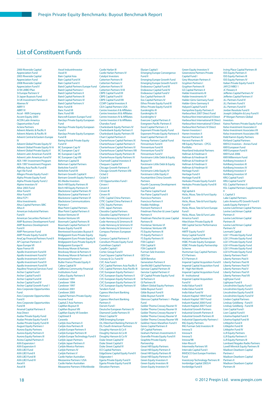### List of Constituent Funds

#### 2000 Riverside Capital **Appreciation Fund** 2003 Riverside Capital Appreciation Fund 2008 Riverside Capital Appreciation Fund V 3i 94 LMBO Plan 3i Europe Partners V 3i Japan Buyouts Fund 3i UK Investment Partners II Abenex IV ABRY V **ARRY VI** Accel - KKR Company Accent Equity 2003 ACON Latin America Opportunities Fund Actera Partners Advent Atlantic & Pacific II Advent Atlantic & Pacific III Advent Central & Eastern Europe **IV** Advent Global Private Equity IV Advent Global Private Equity IV-A Advent Global Private Equity V Advent Latin American Fund III Advent Latin American Fund IV AEA 1991 Investment Program AEA 1997 Investment Program<br>Affinity Asia Pacific Fund III Agri-Vie Fund Allegro Private Equity Fund I Alpha Private Equity Fund Alpha Private Equity Fund 2 Alpine Investors IV Altor 2003 Fund Altor Fund II Altor Fund III Altra FCP I Altra Investments Altus Capital Partners SBIC Altus II American Industrial Partners Fund II American Securities Partners II AMP Business Development Fund AMP Business Development Fund II AMP Pencarrow Fund AMP Private Equity Fund III AnaCap Financial Partners Fund II AP Cayman Partners II Apax Europe VII Apax France VII Apollo Investment Fund III Apollo Investment Fund IV Apollo Investment Fund V Apollo Investment Fund VI Apollo Investment Fund VII Aquiline Financial Services Fund Archer Capital Fund I Archer Capital Fund II Archer Capital Fund III Archer Capital Fund IV Archer Capital Growth Fund 1 Ares Corporate Opportunities Fund Ares Corporate Opportunities Fund II Ares Corporate Opportunities Fund III Arsenal Capital Partners II Asia Direct Audax Private Equity Fund Audax Private Equity Fund II Audax Private Equity Fund III August Equity Partners I Aurora Equity Partners Aurora Equity Partners II Aurora Equity Partners III Avista Capital Partners II AXA Expansion I AXA Expansion II AXA LBO Fund AXA LBO Fund II AXA LBO Fund III AXA LBO Fund IV Axcel II

Axcel IndustriInvestor Axcel IV Bain Capital Asia Bain Capital Fund IX Bain Capital Fund X Baird Capital Partners Europe Fund Baird Capital Partners I Baird Capital Partners II Baird Capital Partners III Baird Capital Partners IV Baird Capital Partners V Banc Fund III Banc Fund VII Banc Fund VIII Bancroft Eastern Europe Fund Barclays Private Equity European Fund Barclays Private Equity European Fund II Barclays Private Equity European Fund III Baring Vostok Private Equity Fund IV BC European Cap IV BC European Cap V BC European Cap VII BC European Cap VIII Behrman Capital B Behrman Capital Partners Berkshire Fund VI Berkshire Fund VII Bertram Growth Capital II Bertram Growth Equity Partners I BG Media Investors Birch Hill Equity Partners III Birch Hill Equity Partners IV Blackstone Capital Partners IV Blackstone Capital Partners V Blackstone Capital Partners VI Blackstone Communications Partners I Blue Point Capital Partners Blue Point Capital Partners II Boston Ventures VI Boston Ventures VII Bowmark Capital Partners III Bowmark Capital Partners IV Brazos Equity Fund III Brentwood Associates Buyout II Bridgepoint Euro Private Equity Bridgepoint Euro Private Equity II Bridgepoint Euro Private Equity III Bridgepoint Europe IV Brockway Moran & Partners Brockway Moran & Partners II Brockway Moran & Partners III Brynwood Partners V Butler France Private Equity II Calera Capital IV California Community Financial Institutions Fund Caltius Equity Partners II Candover 1991 Candover 1994 Candover 1997 Candover 2001 Candover 2005 Capital Partners Private Equity Income Fund Capital Z Asia Partners CapMan Buyout IX CapMan Buyout VIII CapMan Equity VII Sweden CapStreet II Caravela Carlyle Asia Partners II Carlyle Asia Partners III Carlyle Europe Partners II Carlyle Europe Partners III Carlyle Europe Technology Fund II Carlyle Japan Partners Carlyle Japan Partners II Carlyle Mexico Partners Carlyle Partners IV Carlyle Partners V Carry Carrollan Australian Mezzanine Partners I USA Castle Harlan Australian Mezzanine Partners II Worldwide

Castle Harlan III Castle Harlan Partners IV Catalyst Investors Catterton Partners III Catterton Partners V Catterton Partners VI Catterton Partners VI-B CBPE Capital Fund VII CBPE Capital Fund VI CBPE Capital Fund VIII CCMP Capital Investors II CEA Capital Partners USA Centre Investors II & Affiliates Centre Investors III & Affiliates Centre Investors IV & Affiliates Centre Investors V & Affiliates Chandos Fund Charlesbank Equity Partners IV Charlesbank Equity Partners V Charlesbank Equity Partners VII Chart Capital Partners II Charterhouse Capital Partners IX Charterhouse Capital Partners V Charterhouse Capital Partners VI Charterhouse Capital Partners VIII Charterhouse Equity Partners III **Charterhouse Equity Partners IV** Chartwell Capital Investors II Chequers Capital XV Chicago Growth Partners II Chicago Growth Partners VIII Ciclad 2 Ciclad 4 CID Opportunities Fund I **Cinven** Cinven II Cinven III Cinven IV CITIC Capital China Partners CITIC Capital China Partners II CITIC Equity Partners CITIC Japan Partners Clessidra Capital Partners Clessidra Capital Partners II Code Hennessy & Simmons II Code Hennessy & Simmons III Code Hennessy & Simmons IV Code Hennessy & Simmons V Compass Partners European **Equity** Conseco Capital Partners II Consilium Private Equity Fund Corinthian Capital I Corpfin Capital I Cortec Group Fund II Court Square Capital Partners II Cressey & Co. Fund IV CVC Asia Fund I CVC Capital Partners Asia Pacific II **CVC Capital Partners Asia Pacific III** CVC European Equity Partners I CVC European Equity Partners II CVC European Equity Partners III CVC European Equity Partners IV CVC European Equity Partners IV Tandem Fund Cypress Merchant Banking Partners I Cypress Merchant Banking ertners II Darwin Fund I Deutsche European Partners IV Diamond Castle Partners IV Direct Capital IV DKB Emerging Europe DLJ Merchant Banking Partners IV DLJ South American Partners Doughty Hanson & Co II Doughty Hanson & Co III Doughty Hanson & Co IV Duke Street Capital IV Duke Street Capital V Duke Street Capital VI ECI Capital Partners EdgeStone Capital Equity Fund II Edgewater I Egeria Private Equity Fund II Egeria Private Equity Fund III Elevation Partners

Elysian Capital I Emerging Europe Convergence Fund II Emerging Europe Growth Fund Emerging Europe Growth Fund II Endeavour Capital Fund III Endeavour Capital Fund IV Endeavour Capital Fund V Eos Capital Partners III Eos Capital Partners IV **Ethos Private Equity Fund III** Ethos Private Equity Fund IV Euroknights III Euroknights IV Euroknights V Evercore Capital Partners II Evergreen Pacific Partners II Excel Capital Partners I, II Exponent Private Equity Fund Exponent Private Equity Partners II Exxel Capital Partners VI Fenway Partners Capital Fund Finnventure Fund II Finnventure Fund III Finnventure Fund IV Finnventure Fund V Forstmann Little Debt & Equity Buyout VI Forstmann Little Debt & Equity Buyout VII Forstmann Little Equity IV Forstmann Little Equity V FountainVest China Growth Partners **Fourth Causeway Develop** Capital Fund Fox Paine Capital Fund Fox Paine Capital Fund II Francisco Partners Francisco Partners II Freddo Holdings Fremont Partners II Friedman Fleischer & Lowe Capital Partners II Friedman Fleischer & Lowe Capital Partners III Frontenac Ventures VI Frontenac Ventures VIII FS Equity Partners III FS Equity Partners V FS Equity Partners VI FSN Capital I FSN Capital II FSN Capital III Furman Selz Investors GED Sur GEM Benelux Generation Partners II GenNx360 Capital Partners Genstar Capital Partners III Genstar Capital Partners V GF Capital Private Equity Fund GI Partners II GI Partners III Gilbert Global Equity Partners Gilde Buyout Fund I Gilde Buyout Fund II Gilde Buyout Fund III Glencoe Capital Partners I - Pledge Fund Golder Thoma Cressey Rauner IV Golder Thoma Cressey Rauner IX Golder Thoma Cressey Rauner V Golder Thoma Cressey Rauner VI Golder Thoma Cressey Rauner VIII Goldner Hawn Marathon Fund V Gores Capital Partners II GP Capital Partners Graham Partners Investments II Granville Private Equity Fund VI Graphite Private Equity Partnership Great Hill Equity Partners Great Hill Equity Partners II Great Hill Equity Partners III Great Hill Equity Partners IV Green Equity Investors II Green Equity Investors III Green Equity Investors IV

Green Equity Investors V Greenstone Partners Private Capital Fund I Grey Mountain Partners II Gryphon Partners I Gryphon Partners III GS Capital Partners II Halder Investments III Halder Investments IV Halder-Gimv Germany Fund Halder-Gimv Germany II Halyard Capital Fund II Hampshire Equity Partners II HarbourVest 2007 Direct Fund HarbourVest International II Direct HarbourVest International III Direct HarbourVest International V Direct HarbourVest Partners IV Direct Harren Investors I Harren Investors II Harvest Partners III Harvest Partners IV HB Equity Partners - CPCG Portfolio Heartland Industrial Partners Hellman & Friedman II Hellman & Friedman III Hellman & Friedman IV Hellman & Friedman V Hellman & Friedman VI Heritage Fund I Heritage Fund II Heritage Fund III Herkules Private Equity Fund II Herkules Private Equity Fund III HEV III HgCapital 6 Hicks, Muse, Tate & Furst Equity Fund III Hicks, Muse, Tate & Furst Equity Fund IV Hicks, Muse, Tate & Furst Europe Fund I Hicks, Muse, Tate & Furst Latin America Fund I HitecVision Private Equity III HM Capital Sector Performance Fund HMTF Equity Fund V Hony Capital Fund III Horizon Capital Partners III HSBC Private Equity European HSBC Private Equity Partnership Scheme Huntsman Gay Capital Partners ICV Partners ICV Partners II Imperial Capital Acquisition Fund II Imperial Capital Acquisition Fund III - High Net Worth Imperial Capital Acquisition Fund III - Institutional Imperial Capital Acquisition Fund IV India Value Fund II India Value Fund III India Value Fund IV Industri Kapital 1994 Fund Industri Kapital 1997 Fund Industri Kapital 2000 Fund Industri Kapital 2007 Fund Industrial Growth Partners Industrial Growth Partners II Industrial Growth Partners III Industrial Opportunity Partners I ING Equity Partners ING Furman Selz Investors III Innova/3 Innova/4 Innova/5 Innova/98 Inter-Risco II Intermedia Partners VII Intervale Capital Fund I INVESCO East Europe Frontiers Fund Investcorp Technology Partners III Ironbridge Capital 2003/4 Ironbridge Fund II

Irving Place Capital Partners III ISIS Equity Partners II ISIS Equity Partners III ISIS Equity Partners IV Italian Private Equity Fund II JAFCO MBO 1 JC Flowers II Jefferies Capital Partners IV Jefferies Capital Partners V JLL Partners Fund IV JLL Partners Fund V JLL Partners Fund VI Jordan Resolute Fund II Joseph Littlejohn & Levy Fund II JP Morgan Partners Global Investors Kairos Partners Private Equity Fund Kelso Investment Associates V Kelso Investment Associates VII Kelso Investment Associates VIII Kidd Kamm Equity Partners Kirtland Capital Partners KKR E2 Investors - Annex Fund KKR European Fund KKR European Fund II KKR Fund 2006 KKR Millennium Fund Kohlberg Investors II Kohlberg Investors III Kohlberg Investors IV Kohlberg Investors V Kohlberg Investors VI KRG Capital Fund I KRG Capital Fund IV KSL Capital Partners II KSL Capital Partners Supplemental II L Capital 3 Lake Capital Partners Latin America PE Growth Fund II Leeds Equity Partners V Levine Leichtman Capital Partners Levine Leichtman Capital Partners II Levine Leichtman Capital Partners III Levine Leichtman Capital Partners IV Levmark Capital LGV 1 Private Equity Fund LGV 2 Private Equity Fund LGV 3 Private Equity Fund LGV 4 Private Equity Fund LGV 5 Private Equity Fund LGV 6 Private Equity Fund Liberty Partners Pool I Liberty Partners Pool II Liberty Partners Pool III Liberty Partners Pool IV Liberty Partners Pool V Liberty Partners Pool VI Liberty Partners Pool VII Lightyear Fund Lightyear Fund II Lincolnshire Equity Fund I Lincolnshire Equity Fund II Lincolnshire Equity Fund II Lincolnshire Equity Fund IV Linden Capital Partners Lindsay Goldberg - Fund II Lindsay Goldberg - Fund III Lion Capital Fund I Lion Capital Fund II Litorina Kapital Fund II Litorina Kapital Fund III Littlejohn Fund II Littlejohn Fund III Littlejohn Fund IV LLR Equity Partners LLR Equity Partners II LLR Equity Partners III Lombard Nogales Radio Partners Lovell Minnick Equity Partners III Madison Dearborn Capital Partners I Madison Dearborn Capital Partners II Madison Dearborn Capital Partners III

Axcel III